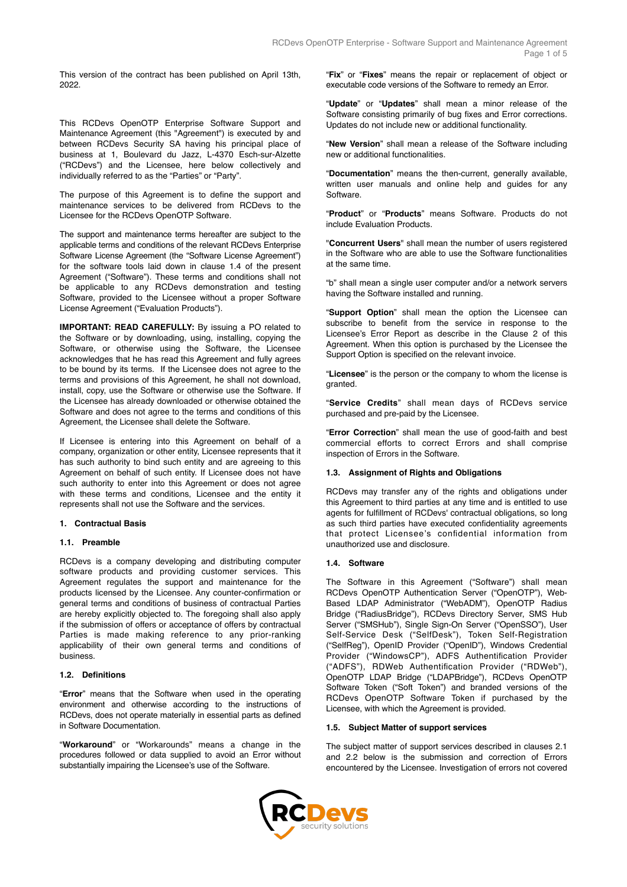This version of the contract has been published on April 13th, 2022.

This RCDevs OpenOTP Enterprise Software Support and Maintenance Agreement (this "Agreement") is executed by and between RCDevs Security SA having his principal place of business at 1, Boulevard du Jazz, L-4370 Esch-sur-Alzette ("RCDevs") and the Licensee, here below collectively and individually referred to as the "Parties" or "Party".

The purpose of this Agreement is to define the support and maintenance services to be delivered from RCDevs to the Licensee for the RCDevs OpenOTP Software.

The support and maintenance terms hereafter are subject to the applicable terms and conditions of the relevant RCDevs Enterprise Software License Agreement (the "Software License Agreement") for the software tools laid down in clause 1.4 of the present Agreement ("Software"). These terms and conditions shall not be applicable to any RCDevs demonstration and testing Software, provided to the Licensee without a proper Software License Agreement ("Evaluation Products").

**IMPORTANT: READ CAREFULLY:** By issuing a PO related to the Software or by downloading, using, installing, copying the Software, or otherwise using the Software, the Licensee acknowledges that he has read this Agreement and fully agrees to be bound by its terms. If the Licensee does not agree to the terms and provisions of this Agreement, he shall not download, install, copy, use the Software or otherwise use the Software. If the Licensee has already downloaded or otherwise obtained the Software and does not agree to the terms and conditions of this Agreement, the Licensee shall delete the Software.

If Licensee is entering into this Agreement on behalf of a company, organization or other entity, Licensee represents that it has such authority to bind such entity and are agreeing to this Agreement on behalf of such entity. If Licensee does not have such authority to enter into this Agreement or does not agree with these terms and conditions, Licensee and the entity it represents shall not use the Software and the services.

## **1. Contractual Basis**

#### **1.1. Preamble**

RCDevs is a company developing and distributing computer software products and providing customer services. This Agreement regulates the support and maintenance for the products licensed by the Licensee. Any counter-confirmation or general terms and conditions of business of contractual Parties are hereby explicitly objected to. The foregoing shall also apply if the submission of offers or acceptance of offers by contractual Parties is made making reference to any prior-ranking applicability of their own general terms and conditions of business.

# **1.2. Definitions**

"**Error**" means that the Software when used in the operating environment and otherwise according to the instructions of RCDevs, does not operate materially in essential parts as defined in Software Documentation.

"**Workaround**" or "Workarounds" means a change in the procedures followed or data supplied to avoid an Error without substantially impairing the Licensee's use of the Software.

"**Fix**" or "**Fixes**" means the repair or replacement of object or executable code versions of the Software to remedy an Error.

"**Update**" or "**Updates**" shall mean a minor release of the Software consisting primarily of bug fixes and Error corrections. Updates do not include new or additional functionality.

"**New Version**" shall mean a release of the Software including new or additional functionalities.

"**Documentation**" means the then-current, generally available, written user manuals and online help and guides for any Software.

"**Product**" or "**Products**" means Software. Products do not include Evaluation Products.

"**Concurrent Users**" shall mean the number of users registered in the Software who are able to use the Software functionalities at the same time.

"b" shall mean a single user computer and/or a network servers having the Software installed and running.

"**Support Option**" shall mean the option the Licensee can subscribe to benefit from the service in response to the Licensee's Error Report as describe in the Clause 2 of this Agreement. When this option is purchased by the Licensee the Support Option is specified on the relevant invoice.

"**Licensee**" is the person or the company to whom the license is granted.

"**Service Credits**" shall mean days of RCDevs service purchased and pre-paid by the Licensee.

"**Error Correction**" shall mean the use of good-faith and best commercial efforts to correct Errors and shall comprise inspection of Errors in the Software.

## **1.3. Assignment of Rights and Obligations**

RCDevs may transfer any of the rights and obligations under this Agreement to third parties at any time and is entitled to use agents for fulfillment of RCDevs' contractual obligations, so long as such third parties have executed confidentiality agreements that protect Licensee's confidential information from unauthorized use and disclosure.

#### **1.4. Software**

The Software in this Agreement ("Software") shall mean RCDevs OpenOTP Authentication Server ("OpenOTP"), Web-Based LDAP Administrator ("WebADM"), OpenOTP Radius Bridge ("RadiusBridge"), RCDevs Directory Server, SMS Hub Server ("SMSHub"), Single Sign-On Server ("OpenSSO"), User Self-Service Desk ("SelfDesk"), Token Self-Registration ("SelfReg"), OpenID Provider ("OpenID"), Windows Credential Provider ("WindowsCP"), ADFS Authentification Provider ("ADFS"), RDWeb Authentification Provider ("RDWeb"), OpenOTP LDAP Bridge ("LDAPBridge"), RCDevs OpenOTP Software Token ("Soft Token") and branded versions of the RCDevs OpenOTP Software Token if purchased by the Licensee, with which the Agreement is provided.

#### **1.5. Subject Matter of support services**

The subject matter of support services described in clauses 2.1 and 2.2 below is the submission and correction of Errors encountered by the Licensee. Investigation of errors not covered

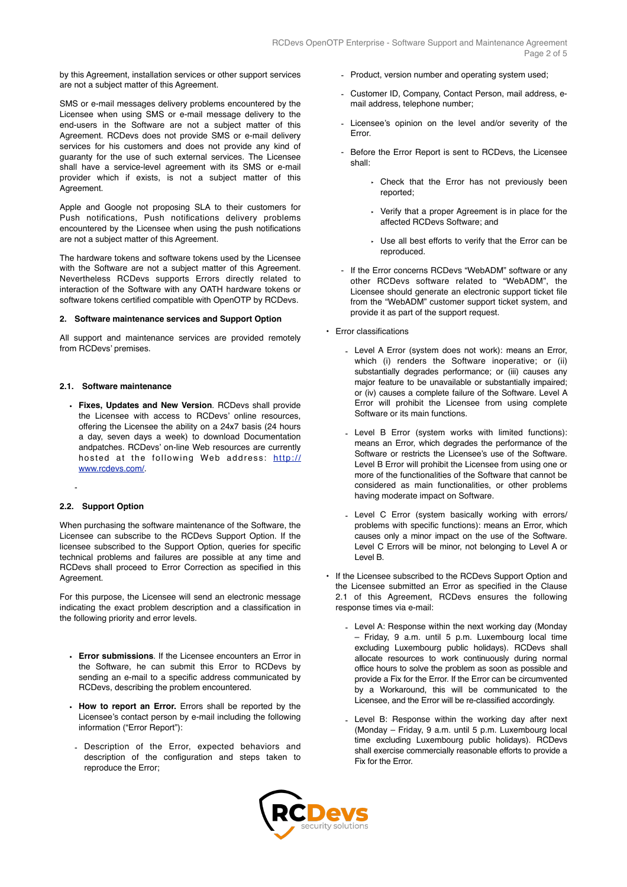by this Agreement, installation services or other support services are not a subject matter of this Agreement.

SMS or e-mail messages delivery problems encountered by the Licensee when using SMS or e-mail message delivery to the end-users in the Software are not a subject matter of this Agreement. RCDevs does not provide SMS or e-mail delivery services for his customers and does not provide any kind of guaranty for the use of such external services. The Licensee shall have a service-level agreement with its SMS or e-mail provider which if exists, is not a subject matter of this Agreement.

Apple and Google not proposing SLA to their customers for Push notifications, Push notifications delivery problems encountered by the Licensee when using the push notifications are not a subject matter of this Agreement.

The hardware tokens and software tokens used by the Licensee with the Software are not a subject matter of this Agreement. Nevertheless RCDevs supports Errors directly related to interaction of the Software with any OATH hardware tokens or software tokens certified compatible with OpenOTP by RCDevs.

# **2. Software maintenance services and Support Option**

All support and maintenance services are provided remotely from RCDevs' premises.

### **2.1. Software maintenance**

• **Fixes, Updates and New Version**. RCDevs shall provide the Licensee with access to RCDevs' online resources, offering the Licensee the ability on a 24x7 basis (24 hours a day, seven days a week) to download Documentation andpatches. RCDevs' on-line Web resources are currently hosted at the following Web address: [http://](http://www.rcdevs.com/members) [www.rcdevs.com/.](http://www.rcdevs.com/members)

## **2.2. Support Option**

-

When purchasing the software maintenance of the Software, the Licensee can subscribe to the RCDevs Support Option. If the licensee subscribed to the Support Option, queries for specific technical problems and failures are possible at any time and RCDevs shall proceed to Error Correction as specified in this Agreement.

For this purpose, the Licensee will send an electronic message indicating the exact problem description and a classification in the following priority and error levels.

- **Error submissions**. If the Licensee encounters an Error in the Software, he can submit this Error to RCDevs by sending an e-mail to a specific address communicated by RCDevs, describing the problem encountered.
- **How to report an Error.** Errors shall be reported by the Licensee's contact person by e-mail including the following information ("Error Report"):
- Description of the Error, expected behaviors and description of the configuration and steps taken to reproduce the Error;
- Product, version number and operating system used;
- Customer ID, Company, Contact Person, mail address, email address, telephone number;
- Licensee's opinion on the level and/or severity of the Error.
- Before the Error Report is sent to RCDevs, the Licensee shall:
	- ‣ Check that the Error has not previously been reported;
	- ‣ Verify that a proper Agreement is in place for the affected RCDevs Software; and
	- ‣ Use all best efforts to verify that the Error can be reproduced.
- If the Error concerns RCDevs "WebADM" software or any other RCDevs software related to "WebADM", the Licensee should generate an electronic support ticket file from the "WebADM" customer support ticket system, and provide it as part of the support request.
- Error classifications
	- Level A Error (system does not work): means an Error, which (i) renders the Software inoperative; or (ii) substantially degrades performance; or (iii) causes any major feature to be unavailable or substantially impaired; or (iv) causes a complete failure of the Software. Level A Error will prohibit the Licensee from using complete Software or its main functions.
	- Level B Error (system works with limited functions): means an Error, which degrades the performance of the Software or restricts the Licensee's use of the Software. Level B Error will prohibit the Licensee from using one or more of the functionalities of the Software that cannot be considered as main functionalities, or other problems having moderate impact on Software.
	- Level C Error (system basically working with errors/ problems with specific functions): means an Error, which causes only a minor impact on the use of the Software. Level C Errors will be minor, not belonging to Level A or Level B.
- If the Licensee subscribed to the RCDevs Support Option and the Licensee submitted an Error as specified in the Clause 2.1 of this Agreement, RCDevs ensures the following response times via e-mail:
	- Level A: Response within the next working day (Monday – Friday, 9 a.m. until 5 p.m. Luxembourg local time excluding Luxembourg public holidays). RCDevs shall allocate resources to work continuously during normal office hours to solve the problem as soon as possible and provide a Fix for the Error. If the Error can be circumvented by a Workaround, this will be communicated to the Licensee, and the Error will be re-classified accordingly.
	- Level B: Response within the working day after next (Monday – Friday, 9 a.m. until 5 p.m. Luxembourg local time excluding Luxembourg public holidays). RCDevs shall exercise commercially reasonable efforts to provide a Fix for the Error.

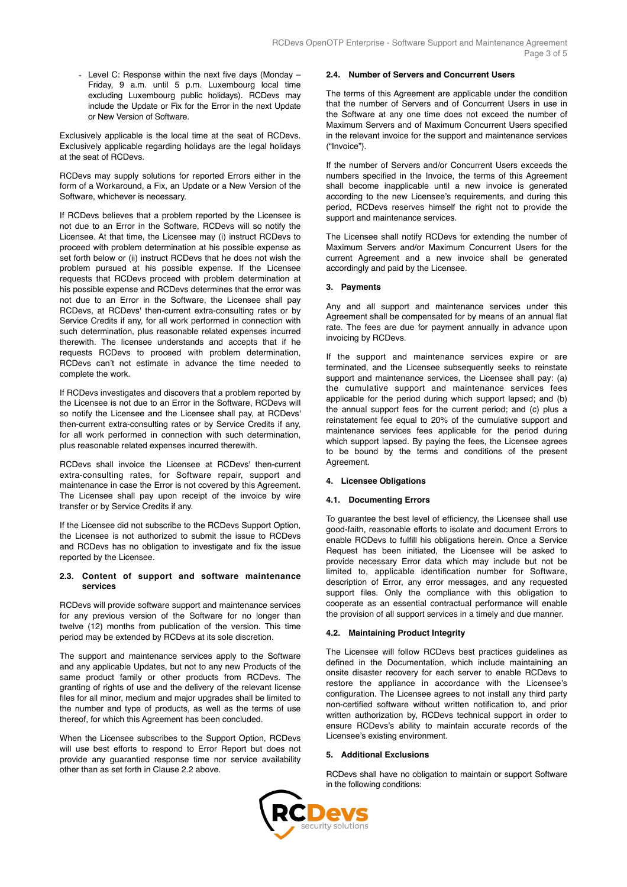- Level C: Response within the next five days (Monday – Friday, 9 a.m. until 5 p.m. Luxembourg local time excluding Luxembourg public holidays). RCDevs may include the Update or Fix for the Error in the next Update or New Version of Software.

Exclusively applicable is the local time at the seat of RCDevs. Exclusively applicable regarding holidays are the legal holidays at the seat of RCDevs.

RCDevs may supply solutions for reported Errors either in the form of a Workaround, a Fix, an Update or a New Version of the Software, whichever is necessary.

If RCDevs believes that a problem reported by the Licensee is not due to an Error in the Software, RCDevs will so notify the Licensee. At that time, the Licensee may (i) instruct RCDevs to proceed with problem determination at his possible expense as set forth below or (ii) instruct RCDevs that he does not wish the problem pursued at his possible expense. If the Licensee requests that RCDevs proceed with problem determination at his possible expense and RCDevs determines that the error was not due to an Error in the Software, the Licensee shall pay RCDevs, at RCDevs' then-current extra-consulting rates or by Service Credits if any, for all work performed in connection with such determination, plus reasonable related expenses incurred therewith. The licensee understands and accepts that if he requests RCDevs to proceed with problem determination, RCDevs can't not estimate in advance the time needed to complete the work.

If RCDevs investigates and discovers that a problem reported by the Licensee is not due to an Error in the Software, RCDevs will so notify the Licensee and the Licensee shall pay, at RCDevs' then-current extra-consulting rates or by Service Credits if any, for all work performed in connection with such determination, plus reasonable related expenses incurred therewith.

RCDevs shall invoice the Licensee at RCDevs' then-current extra-consulting rates, for Software repair, support and maintenance in case the Error is not covered by this Agreement. The Licensee shall pay upon receipt of the invoice by wire transfer or by Service Credits if any.

If the Licensee did not subscribe to the RCDevs Support Option, the Licensee is not authorized to submit the issue to RCDevs and RCDevs has no obligation to investigate and fix the issue reported by the Licensee.

## **2.3. Content of support and software maintenance services**

RCDevs will provide software support and maintenance services for any previous version of the Software for no longer than twelve (12) months from publication of the version. This time period may be extended by RCDevs at its sole discretion.

The support and maintenance services apply to the Software and any applicable Updates, but not to any new Products of the same product family or other products from RCDevs. The granting of rights of use and the delivery of the relevant license files for all minor, medium and major upgrades shall be limited to the number and type of products, as well as the terms of use thereof, for which this Agreement has been concluded.

When the Licensee subscribes to the Support Option, RCDevs will use best efforts to respond to Error Report but does not provide any guarantied response time nor service availability other than as set forth in Clause 2.2 above.

# **2.4. Number of Servers and Concurrent Users**

The terms of this Agreement are applicable under the condition that the number of Servers and of Concurrent Users in use in the Software at any one time does not exceed the number of Maximum Servers and of Maximum Concurrent Users specified in the relevant invoice for the support and maintenance services ("Invoice").

If the number of Servers and/or Concurrent Users exceeds the numbers specified in the Invoice, the terms of this Agreement shall become inapplicable until a new invoice is generated according to the new Licensee's requirements, and during this period, RCDevs reserves himself the right not to provide the support and maintenance services.

The Licensee shall notify RCDevs for extending the number of Maximum Servers and/or Maximum Concurrent Users for the current Agreement and a new invoice shall be generated accordingly and paid by the Licensee.

# **3. Payments**

Any and all support and maintenance services under this Agreement shall be compensated for by means of an annual flat rate. The fees are due for payment annually in advance upon invoicing by RCDevs.

If the support and maintenance services expire or are terminated, and the Licensee subsequently seeks to reinstate support and maintenance services, the Licensee shall pay: (a) the cumulative support and maintenance services fees applicable for the period during which support lapsed; and (b) the annual support fees for the current period; and (c) plus a reinstatement fee equal to 20% of the cumulative support and maintenance services fees applicable for the period during which support lapsed. By paying the fees, the Licensee agrees to be bound by the terms and conditions of the present **Agreement** 

## **4. Licensee Obligations**

# **4.1. Documenting Errors**

To guarantee the best level of efficiency, the Licensee shall use good-faith, reasonable efforts to isolate and document Errors to enable RCDevs to fulfill his obligations herein. Once a Service Request has been initiated, the Licensee will be asked to provide necessary Error data which may include but not be limited to, applicable identification number for Software, description of Error, any error messages, and any requested support files. Only the compliance with this obligation to cooperate as an essential contractual performance will enable the provision of all support services in a timely and due manner.

## **4.2. Maintaining Product Integrity**

The Licensee will follow RCDevs best practices guidelines as defined in the Documentation, which include maintaining an onsite disaster recovery for each server to enable RCDevs to restore the appliance in accordance with the Licensee's configuration. The Licensee agrees to not install any third party non-certified software without written notification to, and prior written authorization by, RCDevs technical support in order to ensure RCDevs's ability to maintain accurate records of the Licensee's existing environment.

#### **5. Additional Exclusions**

RCDevs shall have no obligation to maintain or support Software in the following conditions:

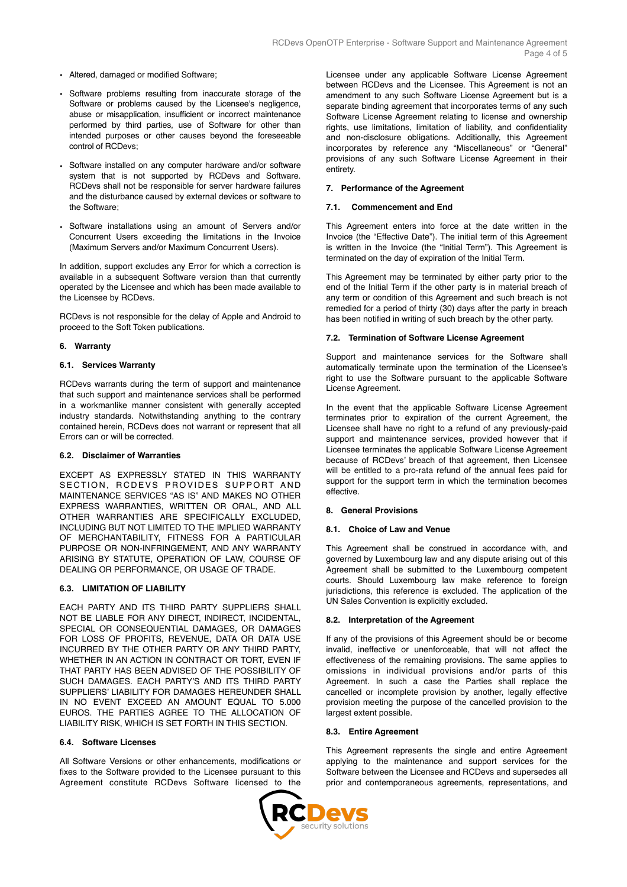- Altered, damaged or modified Software;
- Software problems resulting from inaccurate storage of the Software or problems caused by the Licensee's negligence, abuse or misapplication, insufficient or incorrect maintenance performed by third parties, use of Software for other than intended purposes or other causes beyond the foreseeable control of RCDevs;
- Software installed on any computer hardware and/or software system that is not supported by RCDevs and Software. RCDevs shall not be responsible for server hardware failures and the disturbance caused by external devices or software to the Software;
- Software installations using an amount of Servers and/or Concurrent Users exceeding the limitations in the Invoice (Maximum Servers and/or Maximum Concurrent Users).

In addition, support excludes any Error for which a correction is available in a subsequent Software version than that currently operated by the Licensee and which has been made available to the Licensee by RCDevs.

RCDevs is not responsible for the delay of Apple and Android to proceed to the Soft Token publications.

## **6. Warranty**

# **6.1. Services Warranty**

RCDevs warrants during the term of support and maintenance that such support and maintenance services shall be performed in a workmanlike manner consistent with generally accepted industry standards. Notwithstanding anything to the contrary contained herein, RCDevs does not warrant or represent that all Errors can or will be corrected.

# **6.2. Disclaimer of Warranties**

EXCEPT AS EXPRESSLY STATED IN THIS WARRANTY SECTION. RCDEVS PROVIDES SUPPORT AND MAINTENANCE SERVICES "AS IS" AND MAKES NO OTHER EXPRESS WARRANTIES, WRITTEN OR ORAL, AND ALL OTHER WARRANTIES ARE SPECIFICALLY EXCLUDED, INCLUDING BUT NOT LIMITED TO THE IMPLIED WARRANTY OF MERCHANTABILITY, FITNESS FOR A PARTICULAR PURPOSE OR NON-INFRINGEMENT, AND ANY WARRANTY ARISING BY STATUTE, OPERATION OF LAW, COURSE OF DEALING OR PERFORMANCE, OR USAGE OF TRADE.

## **6.3. LIMITATION OF LIABILITY**

EACH PARTY AND ITS THIRD PARTY SUPPLIERS SHALL NOT BE LIABLE FOR ANY DIRECT, INDIRECT, INCIDENTAL, SPECIAL OR CONSEQUENTIAL DAMAGES, OR DAMAGES FOR LOSS OF PROFITS, REVENUE, DATA OR DATA USE INCURRED BY THE OTHER PARTY OR ANY THIRD PARTY, WHETHER IN AN ACTION IN CONTRACT OR TORT, EVEN IF THAT PARTY HAS BEEN ADVISED OF THE POSSIBILITY OF SUCH DAMAGES. EACH PARTY'S AND ITS THIRD PARTY SUPPLIERS' LIABILITY FOR DAMAGES HEREUNDER SHALL IN NO EVENT EXCEED AN AMOUNT EQUAL TO 5.000 EUROS. THE PARTIES AGREE TO THE ALLOCATION OF LIABILITY RISK, WHICH IS SET FORTH IN THIS SECTION.

# **6.4. Software Licenses**

All Software Versions or other enhancements, modifications or fixes to the Software provided to the Licensee pursuant to this Agreement constitute RCDevs Software licensed to the Licensee under any applicable Software License Agreement between RCDevs and the Licensee. This Agreement is not an amendment to any such Software License Agreement but is a separate binding agreement that incorporates terms of any such Software License Agreement relating to license and ownership rights, use limitations, limitation of liability, and confidentiality and non-disclosure obligations. Additionally, this Agreement incorporates by reference any "Miscellaneous" or "General" provisions of any such Software License Agreement in their entirety.

# **7. Performance of the Agreement**

# **7.1. Commencement and End**

This Agreement enters into force at the date written in the Invoice (the "Effective Date"). The initial term of this Agreement is written in the Invoice (the "Initial Term"). This Agreement is terminated on the day of expiration of the Initial Term.

This Agreement may be terminated by either party prior to the end of the Initial Term if the other party is in material breach of any term or condition of this Agreement and such breach is not remedied for a period of thirty (30) days after the party in breach has been notified in writing of such breach by the other party.

# **7.2. Termination of Software License Agreement**

Support and maintenance services for the Software shall automatically terminate upon the termination of the Licensee's right to use the Software pursuant to the applicable Software License Agreement.

In the event that the applicable Software License Agreement terminates prior to expiration of the current Agreement, the Licensee shall have no right to a refund of any previously-paid support and maintenance services, provided however that if Licensee terminates the applicable Software License Agreement because of RCDevs' breach of that agreement, then Licensee will be entitled to a pro-rata refund of the annual fees paid for support for the support term in which the termination becomes effective.

## **8. General Provisions**

## **8.1. Choice of Law and Venue**

This Agreement shall be construed in accordance with, and governed by Luxembourg law and any dispute arising out of this Agreement shall be submitted to the Luxembourg competent courts. Should Luxembourg law make reference to foreign jurisdictions, this reference is excluded. The application of the UN Sales Convention is explicitly excluded.

## **8.2. Interpretation of the Agreement**

If any of the provisions of this Agreement should be or become invalid, ineffective or unenforceable, that will not affect the effectiveness of the remaining provisions. The same applies to omissions in individual provisions and/or parts of this Agreement. In such a case the Parties shall replace the cancelled or incomplete provision by another, legally effective provision meeting the purpose of the cancelled provision to the largest extent possible.

## **8.3. Entire Agreement**

This Agreement represents the single and entire Agreement applying to the maintenance and support services for the Software between the Licensee and RCDevs and supersedes all prior and contemporaneous agreements, representations, and